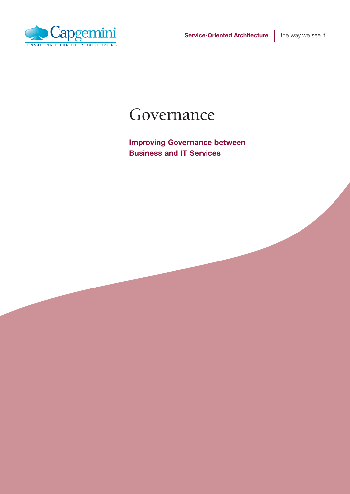



### Governance

**Improving Governance between Business and IT Services**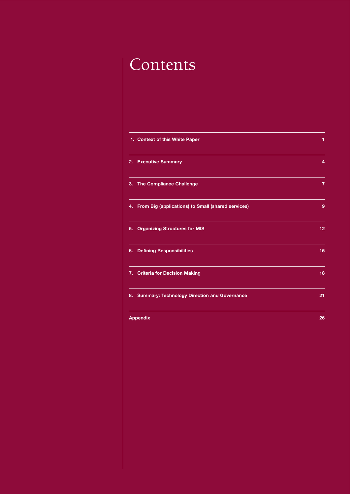## Contents

| 1. Context of this White Paper                        | 1              |
|-------------------------------------------------------|----------------|
| 2. Executive Summary                                  | 4              |
| 3. The Compliance Challenge                           | $\overline{7}$ |
| 4. From Big (applications) to Small (shared services) | 9              |
| 5. Organizing Structures for MIS                      | 12             |
| 6. Defining Responsibilities                          | 15             |
| 7. Criteria for Decision Making                       | 18             |
| 8. Summary: Technology Direction and Governance       | 21             |
| <b>Appendix</b>                                       | 26             |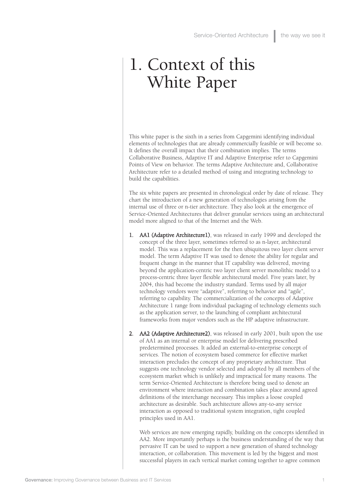### 1. Context of this White Paper

This white paper is the sixth in a series from Capgemini identifying individual elements of technologies that are already commercially feasible or will become so. It defines the overall impact that their combination implies. The terms Collaborative Business, Adaptive IT and Adaptive Enterprise refer to Capgemini Points of View on behavior. The terms Adaptive Architecture and, Collaborative Architecture refer to a detailed method of using and integrating technology to build the capabilities.

The six white papers are presented in chronological order by date of release. They chart the introduction of a new generation of technologies arising from the internal use of three or n-tier architecture. They also look at the emergence of Service-Oriented Architectures that deliver granular services using an architectural model more aligned to that of the Internet and the Web.

- 1. AA1 (Adaptive Architecture1), was released in early 1999 and developed the concept of the three layer, sometimes referred to as n-layer, architectural model. This was a replacement for the then ubiquitous two layer client server model. The term Adaptive IT was used to denote the ability for regular and frequent change in the manner that IT capability was delivered, moving beyond the application-centric two layer client server monolithic model to a process-centric three layer flexible architectural model. Five years later, by 2004, this had become the industry standard. Terms used by all major technology vendors were "adaptive", referring to behavior and "agile", referring to capability. The commercialization of the concepts of Adaptive Architecture 1 range from individual packaging of technology elements such as the application server, to the launching of compliant architectural frameworks from major vendors such as the HP adaptive infrastructure.
- 2. AA2 (Adaptive Architecture2), was released in early 2001, built upon the use of AA1 as an internal or enterprise model for delivering prescribed predetermined processes. It added an external-to-enterprise concept of services. The notion of ecosystem based commerce for effective market interaction precludes the concept of any proprietary architecture. That suggests one technology vendor selected and adopted by all members of the ecosystem market which is unlikely and impractical for many reasons. The term Service-Oriented Architecture is therefore being used to denote an environment where interaction and combination takes place around agreed definitions of the interchange necessary. This implies a loose coupled architecture as desirable. Such architecture allows any-to-any service interaction as opposed to traditional system integration, tight coupled principles used in AA1.

Web services are now emerging rapidly, building on the concepts identified in AA2. More importantly perhaps is the business understanding of the way that pervasive IT can be used to support a new generation of shared technology interaction, or collaboration. This movement is led by the biggest and most successful players in each vertical market coming together to agree common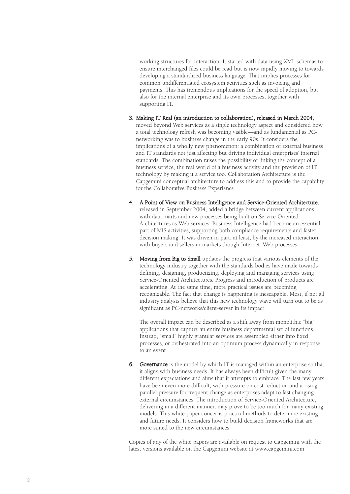working structures for interaction. It started with data using XML schemas to ensure interchanged files could be read but is now rapidly moving to towards developing a standardized business language. That implies processes for common undifferentiated ecosystem activities such as invoicing and payments. This has tremendous implications for the speed of adoption, but also for the internal enterprise and its own processes, together with supporting IT.

- 3. Making IT Real (an introduction to collaboration), released in March 2004, moved beyond Web services as a single technology aspect and considered how a total technology refresh was becoming visible—and as fundamental as PCnetworking was to business change in the early 90s. It considers the implications of a wholly new phenomenon: a combination of external business and IT standards not just affecting but driving individual enterprises' internal standards. The combination raises the possibility of linking the concept of a business service, the real world of a business activity and the provision of IT technology by making it a service too. Collaboration Architecture is the Capgemini conceptual architecture to address this and to provide the capability for the Collaborative Business Experience.
- 4. A Point of View on Business Intelligence and Service-Oriented Architecture, released in September 2004, added a bridge between current applications, with data marts and new processes being built on Service-Oriented Architectures as Web services. Business Intelligence had become an essential part of MIS activities, supporting both compliance requirements and faster decision making. It was driven in part, at least, by the increased interaction with buyers and sellers in markets though Internet–Web processes.
- 5. Moving from Big to Small updates the progress that various elements of the technology industry together with the standards bodies have made towards defining, designing, productizing, deploying and managing services using Service-Oriented Architectures. Progress and introduction of products are accelerating. At the same time, more practical issues are becoming recognizable. The fact that change is happening is inescapable. Most, if not all industry analysts believe that this new technology wave will turn out to be as significant as PC-networks/client-server in its impact.

The overall impact can be described as a shift away from monolithic "big" applications that capture an entire business departmental set of functions. Instead, "small" highly granular services are assembled either into fixed processes, or orchestrated into an optimum process dynamically in response to an event.

6. Governance is the model by which IT is managed within an enterprise so that it aligns with business needs. It has always been difficult given the many different expectations and aims that it attempts to embrace. The last few years have been even more difficult, with pressure on cost reduction and a rising parallel pressure for frequent change as enterprises adapt to fast changing external circumstances. The introduction of Service-Oriented Architecture, delivering in a different manner, may prove to be too much for many existing models. This white paper concerns practical methods to determine existing and future needs. It considers how to build decision frameworks that are more suited to the new circumstances.

Copies of any of the white papers are available on request to Capgemini with the latest versions available on the Capgemini website at www.capgemini.com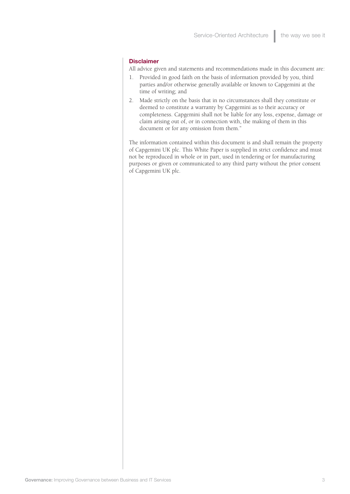#### **Disclaimer**

All advice given and statements and recommendations made in this document are:

- 1. Provided in good faith on the basis of information provided by you, third parties and/or otherwise generally available or known to Capgemini at the time of writing; and
- 2. Made strictly on the basis that in no circumstances shall they constitute or deemed to constitute a warranty by Capgemini as to their accuracy or completeness. Capgemini shall not be liable for any loss, expense, damage or claim arising out of, or in connection with, the making of them in this document or for any omission from them."

The information contained within this document is and shall remain the property of Capgemini UK plc. This White Paper is supplied in strict confidence and must not be reproduced in whole or in part, used in tendering or for manufacturing purposes or given or communicated to any third party without the prior consent of Capgemini UK plc.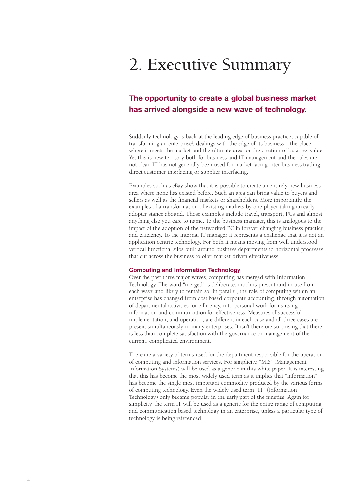## 2. Executive Summary

### **The opportunity to create a global business market has arrived alongside a new wave of technology.**

Suddenly technology is back at the leading edge of business practice, capable of transforming an enterprise's dealings with the edge of its business—the place where it meets the market and the ultimate area for the creation of business value. Yet this is new territory both for business and IT management and the rules are not clear. IT has not generally been used for market facing inter business trading, direct customer interfacing or supplier interfacing.

Examples such as eBay show that it is possible to create an entirely new business area where none has existed before. Such an area can bring value to buyers and sellers as well as the financial markets or shareholders. More importantly, the examples of a transformation of existing markets by one player taking an early adopter stance abound. Those examples include travel, transport, PCs and almost anything else you care to name. To the business manager, this is analogous to the impact of the adoption of the networked PC in forever changing business practice, and efficiency. To the internal IT manager it represents a challenge that it is not an application centric technology. For both it means moving from well understood vertical functional silos built around business departments to horizontal processes that cut across the business to offer market driven effectiveness.

#### **Computing and Information Technology**

Over the past three major waves, computing has merged with Information Technology. The word "merged" is deliberate: much is present and in use from each wave and likely to remain so. In parallel, the role of computing within an enterprise has changed from cost based corporate accounting, through automation of departmental activities for efficiency, into personal work forms using information and communication for effectiveness. Measures of successful implementation, and operation, are different in each case and all three cases are present simultaneously in many enterprises. It isn't therefore surprising that there is less than complete satisfaction with the governance or management of the current, complicated environment.

There are a variety of terms used for the department responsible for the operation of computing and information services. For simplicity, "MIS" (Management Information Systems) will be used as a generic in this white paper. It is interesting that this has become the most widely used term as it implies that "information" has become the single most important commodity produced by the various forms of computing technology. Even the widely used term "IT" (Information Technology) only became popular in the early part of the nineties. Again for simplicity, the term IT will be used as a generic for the entire range of computing and communication based technology in an enterprise, unless a particular type of technology is being referenced.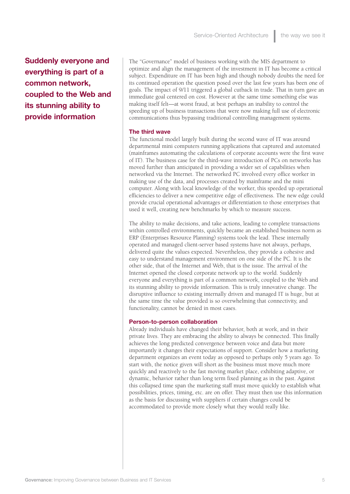**Suddenly everyone and everything is part of a common network, coupled to the Web and its stunning ability to provide information**

The "Governance" model of business working with the MIS department to optimize and align the management of the investment in IT has become a critical subject. Expenditure on IT has been high and though nobody doubts the need for its continued operation the question posed over the last few years has been one of goals. The impact of 9/11 triggered a global cutback in trade. That in turn gave an immediate goal centered on cost. However at the same time something else was making itself felt—at worst fraud, at best perhaps an inability to control the speeding up of business transactions that were now making full use of electronic communications thus bypassing traditional controlling management systems.

#### **The third wave**

The functional model largely built during the second wave of IT was around departmental mini computers running applications that captured and automated (mainframes automating the calculations of corporate accounts were the first wave of IT). The business case for the third-wave introduction of PCs on networks has moved further than anticipated in providing a wider set of capabilities when networked via the Internet. The networked PC involved every office worker in making use of the data, and processes created by mainframe and the mini computer. Along with local knowledge of the worker, this speeded up operational efficiencies to deliver a new competitive edge of effectiveness. The new edge could provide crucial operational advantages or differentiation to those enterprises that used it well, creating new benchmarks by which to measure success.

The ability to make decisions, and take actions, leading to complete transactions within controlled environments, quickly became an established business norm as ERP (Enterprises Resource Planning) systems took the lead. These internally operated and managed client-server based systems have not always, perhaps, delivered quite the values expected. Nevertheless, they provide a cohesive and easy to understand management environment on one side of the PC. It is the other side, that of the Internet and Web, that is the issue. The arrival of the Internet opened the closed corporate network up to the world. Suddenly everyone and everything is part of a common network, coupled to the Web and its stunning ability to provide information. This is truly innovative change. The disruptive influence to existing internally driven and managed IT is huge, but at the same time the value provided is so overwhelming that connectivity, and functionality, cannot be denied in most cases.

#### **Person-to-person collaboration**

Already individuals have changed their behavior, both at work, and in their private lives. They are embracing the ability to always be connected. This finally achieves the long predicted convergence between voice and data but more importantly it changes their expectations of support. Consider how a marketing department organizes an event today as opposed to perhaps only 5 years ago. To start with, the notice given will short as the business must move much more quickly and reactively to the fast moving market place, exhibiting adaptive, or dynamic, behavior rather than long term fixed planning as in the past. Against this collapsed time span the marketing staff must move quickly to establish what possibilities, prices, timing, etc. are on offer. They must then use this information as the basis for discussing with suppliers if certain changes could be accommodated to provide more closely what they would really like.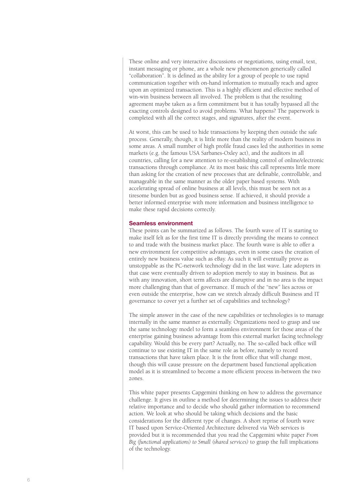These online and very interactive discussions or negotiations, using email, text, instant messaging or phone, are a whole new phenomenon generically called "collaboration". It is defined as the ability for a group of people to use rapid communication together with on-hand information to mutually reach and agree upon an optimized transaction. This is a highly efficient and effective method of win-win business between all involved. The problem is that the resulting agreement maybe taken as a firm commitment but it has totally bypassed all the exacting controls designed to avoid problems. What happens? The paperwork is completed with all the correct stages, and signatures, after the event.

At worst, this can be used to hide transactions by keeping then outside the safe process. Generally, though, it is little more than the reality of modern business in some areas. A small number of high profile fraud cases led the authorities in some markets (e.g. the famous USA Sarbanes-Oxley act), and the auditors in all countries, calling for a new attention to re-establishing control of online/electronic transactions through compliance. At its most basic this call represents little more than asking for the creation of new processes that are definable, controllable, and manageable in the same manner as the older paper based systems. With accelerating spread of online business at all levels, this must be seen not as a tiresome burden but as good business sense. If achieved, it should provide a better informed enterprise with more information and business intelligence to make these rapid decisions correctly.

#### **Seamless environment**

These points can be summarized as follows. The fourth wave of IT is starting to make itself felt as for the first time IT is directly providing the means to connect to and trade with the business market place. The fourth wave is able to offer a new environment for competitive advantages, even in some cases the creation of entirely new business value such as eBay. As such it will eventually prove as unstoppable as the PC-network technology did in the last wave. Late adopters in that case were eventually driven to adoption merely to stay in business. But as with any innovation, short term affects are disruptive and in no area is the impact more challenging than that of governance. If much of the "new" lies across or even outside the enterprise, how can we stretch already difficult Business and IT governance to cover yet a further set of capabilities and technology?

The simple answer in the case of the new capabilities or technologies is to manage internally in the same manner as externally. Organizations need to grasp and use the same technology model to form a seamless environment for those areas of the enterprise gaining business advantage from this external market facing technology capability. Would this be every part? Actually, no. The so-called back office will continue to use existing IT in the same role as before, namely to record transactions that have taken place. It is the front office that will change most, though this will cause pressure on the department based functional application model as it is streamlined to become a more efficient process in-between the two zones.

This white paper presents Capgemini thinking on how to address the governance challenge. It gives in outline a method for determining the issues to address their relative importance and to decide who should gather information to recommend action. We look at who should be taking which decisions and the basic considerations for the different type of changes. A short reprise of fourth wave IT based upon Service-Oriented Architecture delivered via Web services is provided but it is recommended that you read the Capgemini white paper *From Big (functional applications) to Small (shared services)* to grasp the full implications of the technology.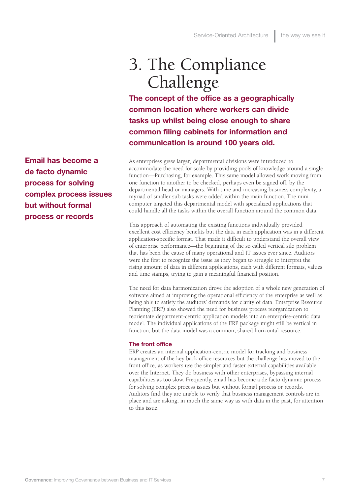**Email has become a de facto dynamic process for solving complex process issues but without formal process or records**

### 3. The Compliance Challenge

**The concept of the office as a geographically common location where workers can divide tasks up whilst being close enough to share common filing cabinets for information and communication is around 100 years old.** 

As enterprises grew larger, departmental divisions were introduced to accommodate the need for scale by providing pools of knowledge around a single function—Purchasing, for example. This same model allowed work moving from one function to another to be checked, perhaps even be signed off, by the departmental head or managers. With time and increasing business complexity, a myriad of smaller sub tasks were added within the main function. The mini computer targeted this departmental model with specialized applications that could handle all the tasks within the overall function around the common data.

This approach of automating the existing functions individually provided excellent cost efficiency benefits but the data in each application was in a different application-specific format. That made it difficult to understand the overall view of enterprise performance—the beginning of the so called vertical silo problem that has been the cause of many operational and IT issues ever since. Auditors were the first to recognize the issue as they began to struggle to interpret the rising amount of data in different applications, each with different formats, values and time stamps, trying to gain a meaningful financial position.

The need for data harmonization drove the adoption of a whole new generation of software aimed at improving the operational efficiency of the enterprise as well as being able to satisfy the auditors' demands for clarity of data. Enterprise Resource Planning (ERP) also showed the need for business process reorganization to reorientate department-centric application models into an enterprise-centric data model. The individual applications of the ERP package might still be vertical in function, but the data model was a common, shared horizontal resource.

#### **The front office**

ERP creates an internal application-centric model for tracking and business management of the key back office resources but the challenge has moved to the front office, as workers use the simpler and faster external capabilities available over the Internet. They do business with other enterprises, bypassing internal capabilities as too slow. Frequently, email has become a de facto dynamic process for solving complex process issues but without formal process or records. Auditors find they are unable to verify that business management controls are in place and are asking, in much the same way as with data in the past, for attention to this issue.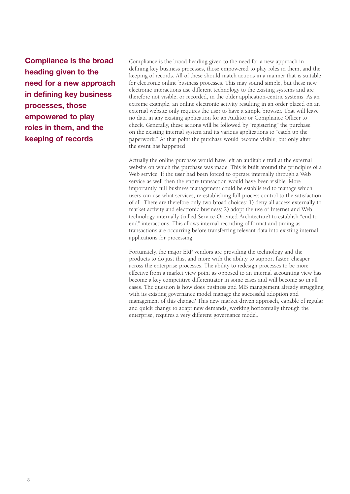**Compliance is the broad heading given to the need for a new approach in defining key business processes, those empowered to play roles in them, and the keeping of records**

Compliance is the broad heading given to the need for a new approach in defining key business processes, those empowered to play roles in them, and the keeping of records. All of these should match actions in a manner that is suitable for electronic online business processes. This may sound simple, but these new electronic interactions use different technology to the existing systems and are therefore not visible, or recorded, in the older application-centric systems. As an extreme example, an online electronic activity resulting in an order placed on an external website only requires the user to have a simple browser. That will leave no data in any existing application for an Auditor or Compliance Officer to check. Generally, these actions will be followed by "registering" the purchase on the existing internal system and its various applications to "catch up the paperwork." At that point the purchase would become visible, but only after the event has happened.

Actually the online purchase would have left an auditable trail at the external website on which the purchase was made. This is built around the principles of a Web service. If the user had been forced to operate internally through a Web service as well then the entire transaction would have been visible. More importantly, full business management could be established to manage which users can use what services, re-establishing full process control to the satisfaction of all. There are therefore only two broad choices: 1) deny all access externally to market activity and electronic business; 2) adopt the use of Internet and Web technology internally (called Service-Oriented Architecture) to establish "end to end" interactions. This allows internal recording of format and timing as transactions are occurring before transferring relevant data into existing internal applications for processing.

Fortunately, the major ERP vendors are providing the technology and the products to do just this, and more with the ability to support faster, cheaper across the enterprise processes. The ability to redesign processes to be more effective from a market view point as opposed to an internal accounting view has become a key competitive differentiator in some cases and will become so in all cases. The question is how does business and MIS management already struggling with its existing governance model manage the successful adoption and management of this change? This new market driven approach, capable of regular and quick change to adapt new demands, working horizontally through the enterprise, requires a very different governance model.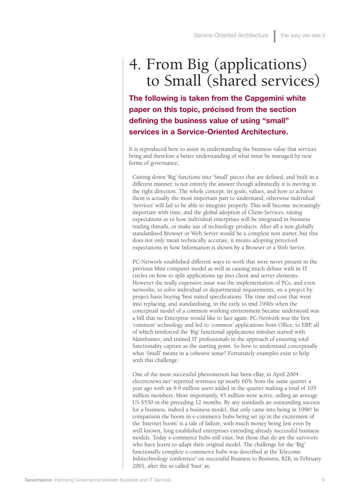### 4. From Big (applications) to Small (shared services)

**The following is taken from the Capgemini white paper on this topic, précised from the section defining the business value of using "small" services in a Service-Oriented Architecture.**

It is reproduced here to assist in understanding the business value that services bring and therefore a better understanding of what must be managed by new forms of governance;

Cutting down 'Big' functions into 'Small' pieces that are defined, and built in a different manner, is not entirely the answer though admittedly it is moving in the right direction. The whole concept, its goals, values, and how to achieve them is actually the most important part to understand, otherwise individual 'Services' will fail to be able to integrate properly. This will become increasingly important with time, and the global adoption of Client-Services, raising expectations as to how individual enterprises will be integrated in business trading threads, or make use of technology products. After all a non globally standardised Browser or Web Server would be a complete non starter, but this does not only mean technically accurate, it means adopting perceived expectations in how Information is shown by a Browser or a Web Server.

PC-Network established different ways to work that were never present in the previous Mini computer model as well as causing much debate with in IT circles on how to split applications up into client and server elements. However the really expensive issue was the implementation of PCs, and even networks, to solve individual or departmental requirements, on a project by project basis buying 'best suited specifications. The time and cost that went into replacing, and standardising, in the early to mid 1990s when the conceptual model of a common working environment became understood was a bill that no Enterprise would like to face again. PC-Network was the first 'common' technology and led to 'common' applications from Office, to ERP, all of which reinforced the 'Big' functional applications mindset started with Mainframes, and trained IT professionals in the approach of ensuring total functionality capture as the starting point. So how to understand conceptually what 'Small' means in a cohesive sense? Fortunately examples exist to help with this challenge.

One of the most successful phenomenon has been eBay, in April 2004 electricnews.net<sup>3</sup> reported revenues up nearly 60% from the same quarter a year ago with an 9.9 million users added in the quarter making a total of 105 million members. More importantly, 45 million were active, selling an average US \$550 in the preceding 12 months. By any standards an outstanding success for a business, indeed a business model, that only came into being in 1996! In comparison the boom in e-commerce hubs being set up in the excitement of the 'Internet boom' is a tale of failure, with much money being lost even by well known, long established enterprises extending already successful business models. Today e-commerce hubs still exist, but those that do are the survivors who have learnt to adapt their original model. The challenge for the 'Big' functionally complete e-commerce hubs was described at the Telecoms Infotechnology conference<sup>4</sup> on successful Business to Business, B2B, in February 2001, after the so called 'bust' as;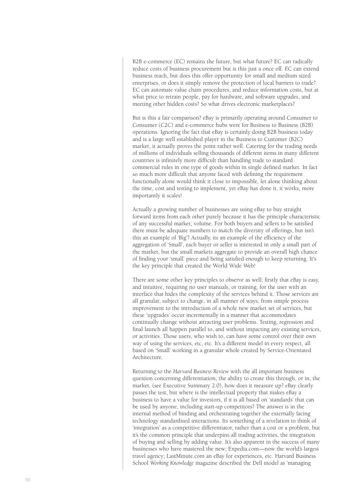B2B e-commerce (EC) remains the future, but what future? EC can radically reduce costs of business procurement but is this just a once off. EC can extend business reach, but does this offer opportunity for small and medium sized enterprises, or does it simply remove the protection of local barriers to trade? EC can automate value chain procedures, and reduce information costs, but at what price to retrain people, pay for hardware, and software upgrades, and meeting other hidden costs? So what drives electronic marketplaces?

But is this a fair comparison? eBay is primarily operating around Consumer to Consumer (C2C) and e-commerce hubs were for Business to Business (B2B) operations. Ignoring the fact that eBay is certainly doing B2B business today and is a large well established player in the Business to Customer (B2C) market, it actually proves the point rather well. Catering for the trading needs of millions of individuals selling thousands of different items in many different countries is infinitely more difficult than handling trade to standard commercial rules in one type of goods within in single defined market. In fact so much more difficult that anyone faced with defining the requirement functionally alone would think it close to impossible, let alone thinking about the time, cost and testing to implement, yet eBay has done it, it works, more importantly it scales!

Actually a growing number of businesses are using eBay to buy straight forward items from each other purely because it has the principle characteristic of any successful market; volume. For both buyers and sellers to be satisfied there must be adequate numbers to match the diversity of offerings, but isn't this an example of 'Big'? Actually, its an example of the efficiency of the aggregation of 'Small', each buyer or seller is interested in only a small part of the market, but the small markets aggregate to provide an overall high chance of finding your 'small' piece and being satisfied enough to keep returning. It's the key principle that created the World Wide Web!

There are some other key principles to observe as well; firstly that eBay is easy, and intuitive, requiring no user manuals, or training, for the user with an interface that hides the complexity of the services behind it. Those services are all granular, subject to change, in all manner of ways, from simple process improvement to the introduction of a whole new market set of services, but these 'upgrades' occur incrementally in a manner that accommodates continually change without attracting user problems. Testing, regression and final launch all happen parallel to, and without impacting any existing services, or activities. Those users, who wish to, can have some control over their own way of using the services, etc, etc. It's a different model in every respect, all based on 'Small' working in a granular whole created by Service-Orientated Architecture.

Returning to the *Harvard Business Review* with the all important business question concerning differentiation, the ability to create this through, or in, the market, (see Executive Summary 2.0), how does it measure up? eBay clearly passes the test, but where is the intellectual property that makes eBay a business to have a value for investors, if it is all based on 'standards' that can be used by anyone, including start-up competitors? The answer is in the internal method of binding and orchestrating together the externally facing technology standardised interactions. Its something of a revelation to think of 'integration' as a competitive differentiator, rather than a cost or a problem, but it's the common principle that underpins all trading activities, the integration of buying and selling by adding value. It's also apparent in the success of many businesses who have mastered the new; Expedia.com—now the world's largest travel agency; LastMinute.com an eBay for experiences, etc. Harvard Business School *Working Knowledge* magazine described the Dell model as 'managing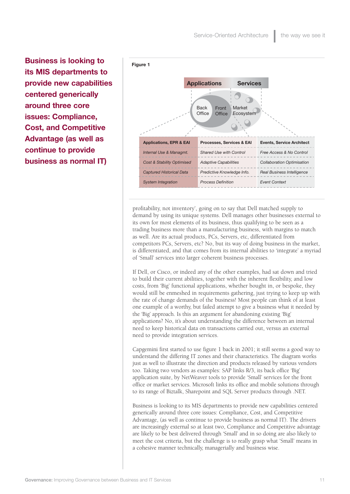**Business is looking to its MIS departments to provide new capabilities centered generically around three core issues: Compliance, Cost, and Competitive Advantage (as well as continue to provide business as normal IT)**



profitability, not inventory', going on to say that Dell matched supply to demand by using its unique systems. Dell manages other businesses external to its own for most elements of its business, thus qualifying to be seen as a trading business more than a manufacturing business, with margins to match as well. Are its actual products, PCs, Servers, etc, differentiated from competitors PCs, Servers, etc? No, but its way of doing business in the market, is differentiated, and that comes from its internal abilities to 'integrate' a myriad of 'Small' services into larger coherent business processes.

If Dell, or Cisco, or indeed any of the other examples, had sat down and tried to build their current abilities, together with the inherent flexibility, and low costs, from 'Big' functional applications, whether bought in, or bespoke, they would still be enmeshed in requirements gathering, just trying to keep up with the rate of change demands of the business! Most people can think of at least one example of a worthy, but failed attempt to give a business what it needed by the 'Big' approach. Is this an argument for abandoning existing 'Big' applications? No, it's about understanding the difference between an internal need to keep historical data on transactions carried out, versus an external need to provide integration services.

Capgemini first started to use figure 1 back in 2001; it still seems a good way to understand the differing IT zones and their characteristics. The diagram works just as well to illustrate the direction and products released by various vendors too. Taking two vendors as examples: SAP links R/3, its back office 'Big' application suite, by NetWeaver tools to provide 'Small' services for the front office or market services. Microsoft links its office and mobile solutions through to its range of Biztalk, Sharepoint and SQL Server products through .NET.

Business is looking to its MIS departments to provide new capabilities centered generically around three core issues: Compliance, Cost, and Competitive Advantage, (as well as continue to provide business as normal IT). The drivers are increasingly external so at least two, Compliance and Competitive advantage are likely to be best delivered through 'Small' and in so doing are also likely to meet the cost criteria, but the challenge is to really grasp what 'Small' means in a cohesive manner technically, managerially and business wise.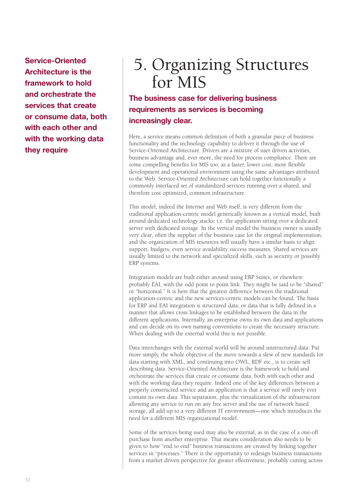**Service-Oriented Architecture is the framework to hold and orchestrate the services that create or consume data, both with each other and with the working data they require**

### 5. Organizing Structures for MIS

### **The business case for delivering business requirements as services is becoming increasingly clear.**

Here, a service means common definition of both a granular piece of business functionality and the technology capability to deliver it through the use of Service-Oriented Architecture. Drivers are a mixture of user driven activities, business advantage and, ever more, the need for process compliance. There are some compelling benefits for MIS too, as a faster, lower cost, more flexible development and operational environment using the same advantages attributed to the Web. Service-Oriented Architecture can hold together functionally a commonly interfaced set of standardized services running over a shared, and therefore cost optimized, common infrastructure.

This model, indeed the Internet and Web itself, is very different from the traditional application-centric model generically known as a vertical model, built around dedicated technology stacks: i.e. the application sitting over a dedicated server with dedicated storage. In the vertical model the business owner is usually very clear, often the supplier of the business case for the original implementation, and the organization of MIS resources will usually have a similar basis to align support, budgets, even service availability success measures. Shared services are usually limited to the network and specialized skills, such as security or possibly ERP systems.

Integration models are built either around using ERP Suites, or elsewhere probably EAI, with the odd point to point link. They might be said to be "shared" or "horizontal." It is here that the greatest difference between the traditional application-centric and the new services-centric models can be found. The basis for ERP and EAI integration is structured data, or data that is fully defined in a manner that allows cross linkages to be established between the data in the different applications. Internally, an enterprise owns its own data and applications and can decide on its own naming conventions to create the necessary structure. When dealing with the external world this is not possible.

Data interchanges with the external world will be around unstructured data. Put more simply, the whole objective of the move towards a slew of new standards for data starting with XML, and continuing into OWL, RDF etc., is to create self describing data. Service-Oriented Architecture is the framework to hold and orchestrate the services that create or consume data, both with each other and with the working data they require. Indeed one of the key differences between a properly constructed service and an application is that a service will rarely ever contain its own data. This separation, plus the virtualization of the infrastructure allowing any service to run on any free server and the use of network based storage, all add up to a very different IT environment—one which introduces the need for a different MIS organizational model.

Some of the services being used may also be external, as in the case of a one-off purchase from another enterprise. That means consideration also needs to be given to how "end to end" business transactions are created by linking together services in "processes." There is the opportunity to redesign business transactions from a market driven perspective for greater effectiveness, probably cutting across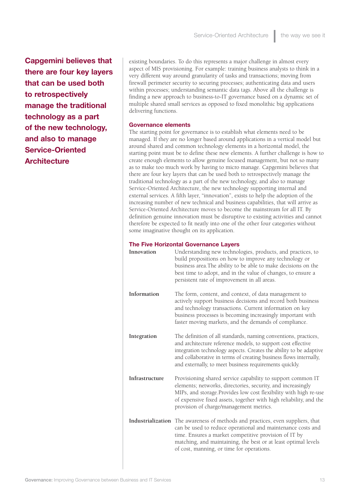**Capgemini believes that there are four key layers that can be used both to retrospectively manage the traditional technology as a part of the new technology, and also to manage Service-Oriented Architecture**

existing boundaries. To do this represents a major challenge in almost every aspect of MIS provisioning. For example: training business analysts to think in a very different way around granularity of tasks and transactions; moving from firewall perimeter security to securing processes; authenticating data and users within processes; understanding semantic data tags. Above all the challenge is finding a new approach to business-to-IT governance based on a dynamic set of multiple shared small services as opposed to fixed monolithic big applications delivering functions.

#### **Governance elements**

The starting point for governance is to establish what elements need to be managed. If they are no longer based around applications in a vertical model but around shared and common technology elements in a horizontal model, the starting point must be to define these new elements. A further challenge is how to create enough elements to allow genuine focused management, but not so many as to make too much work by having to micro manage. Capgemini believes that there are four key layers that can be used both to retrospectively manage the traditional technology as a part of the new technology, and also to manage Service-Oriented Architecture, the new technology supporting internal and external services. A fifth layer, "innovation", exists to help the adoption of the increasing number of new technical and business capabilities, that will arrive as Service-Oriented Architecture moves to become the mainstream for all IT. By definition genuine innovation must be disruptive to existing activities and cannot therefore be expected to fit neatly into one of the other four categories without some imaginative thought on its application.

#### **The Five Horizontal Governance Layers**

| Innovation     | Understanding new technologies, products, and practices, to<br>build propositions on how to improve any technology or<br>business area. The ability to be able to make decisions on the<br>best time to adopt, and in the value of changes, to ensure a<br>persistent rate of improvement in all areas.                              |
|----------------|--------------------------------------------------------------------------------------------------------------------------------------------------------------------------------------------------------------------------------------------------------------------------------------------------------------------------------------|
| Information    | The form, content, and context, of data management to<br>actively support business decisions and record both business<br>and technology transactions. Current information on key<br>business processes is becoming increasingly important with<br>faster moving markets, and the demands of compliance.                              |
| Integration    | The definition of all standards, naming conventions, practices,<br>and architecture reference models, to support cost effective<br>integration technology aspects. Creates the ability to be adaptive<br>and collaborative in terms of creating business flows internally,<br>and externally, to meet business requirements quickly. |
| Infrastructure | Provisioning shared service capability to support common IT<br>elements; networks, directories, security, and increasingly<br>MIPs, and storage. Provides low cost flexibility with high re-use<br>of expensive fixed assets, together with high reliability, and the<br>provision of charge/management metrics.                     |
|                | Industrialization The awareness of methods and practices, even suppliers, that<br>can be used to reduce operational and maintenance costs and<br>time. Ensures a market competitive provision of IT by<br>matching, and maintaining, the best or at least optimal levels<br>of cost, manning, or time for operations.                |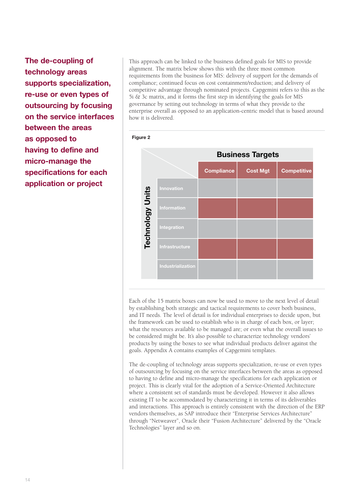**The de-coupling of technology areas supports specialization, re-use or even types of outsourcing by focusing on the service interfaces between the areas as opposed to having to define and micro-manage the specifications for each application or project**

This approach can be linked to the business defined goals for MIS to provide alignment. The matrix below shows this with the three most common requirements from the business for MIS: delivery of support for the demands of compliance; continued focus on cost containment/reduction; and delivery of competitive advantage through nominated projects. Capgemini refers to this as the 5i & 3c matrix, and it forms the first step in identifying the goals for MIS governance by setting out technology in terms of what they provide to the enterprise overall as opposed to an application-centric model that is based around how it is delivered.



Each of the 15 matrix boxes can now be used to move to the next level of detail by establishing both strategic and tactical requirements to cover both business, and IT needs. The level of detail is for individual enterprises to decide upon, but the framework can be used to establish who is in charge of each box, or layer; what the resources available to be managed are; or even what the overall issues to be considered might be. It's also possible to characterize technology vendors' products by using the boxes to see what individual products deliver against the goals. Appendix A contains examples of Capgemini templates.

The de-coupling of technology areas supports specialization, re-use or even types of outsourcing by focusing on the service interfaces between the areas as opposed to having to define and micro-manage the specifications for each application or project. This is clearly vital for the adoption of a Service-Oriented Architecture where a consistent set of standards must be developed. However it also allows existing IT to be accommodated by characterizing it in terms of its deliverables and interactions. This approach is entirely consistent with the direction of the ERP vendors themselves, as SAP introduce their "Enterprise Services Architecture" through "Netweaver", Oracle their "Fusion Architecture" delivered by the "Oracle Technologies" layer and so on.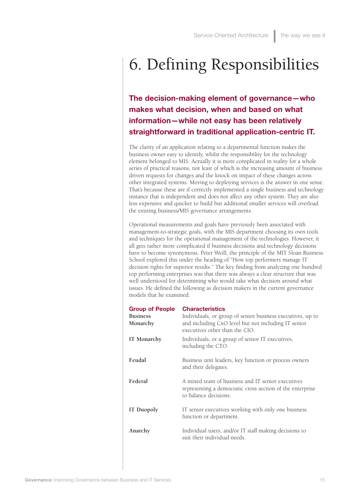## 6. Defining Responsibilities

**The decision-making element of governance—who makes what decision, when and based on what information—while not easy has been relatively straightforward in traditional application-centric IT.**

The clarity of an application relating to a departmental function makes the business owner easy to identify, whilst the responsibility for the technology element belonged to MIS. Actually it is more complicated in reality for a whole series of practical reasons, not least of which is the increasing amount of business driven requests for changes and the knock on impact of these changes across other integrated systems. Moving to deploying services is the answer in one sense. That's because these are if correctly implemented a single business and technology instance that is independent and does not affect any other system. They are also less expensive and quicker to build but additional smaller services will overload the existing business/MIS governance arrangements.

Operational measurements and goals have previously been associated with management-to-strategic goals, with the MIS department choosing its own tools and techniques for the operational management of the technologies. However, it all gets rather more complicated if business decisions and technology decisions have to become synonymous. Peter Weill, the principle of the MIT Sloan Business School explored this under the heading of "How top performers manage IT decision rights for superior results." The key finding from analyzing one hundred top performing enterprises was that there was always a clear structure that was well understood for determining who would take what decision around what issues. He defined the following as decision makers in the current governance models that he examined.

| <b>Group of People</b>      | <b>Characteristics</b>                                                                                                                              |  |
|-----------------------------|-----------------------------------------------------------------------------------------------------------------------------------------------------|--|
| <b>Business</b><br>Monarchy | Individuals, or group of senior business executives, up to<br>and including CxO level but not including IT senior<br>executives other than the CIO. |  |
| IT Monarchy                 | Individuals, or a group of senior IT executives,<br>including the CTO.                                                                              |  |
| Feudal                      | Business unit leaders, key function or process owners<br>and their delegates.                                                                       |  |
| Federal                     | A mixed team of business and IT senior executives<br>representing a democratic cross section of the enterprise<br>to balance decisions.             |  |
| IT Duopoly                  | IT senior executives working with only one business<br>function or department.                                                                      |  |
| Anarchy                     | Individual users, and/or IT staff making decisions to<br>suit their individual needs.                                                               |  |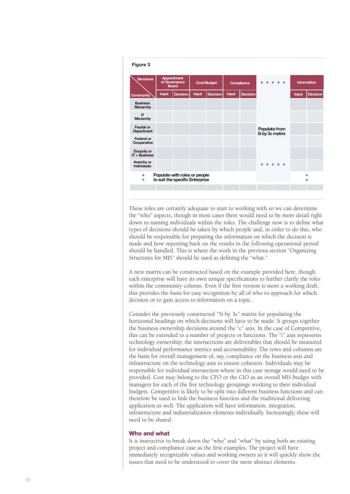

These roles are certainly adequate to start to working with so we can determine the "who" aspects, though in most cases there would need to be more detail right down to naming individuals within the roles. The challenge now is to define what types of decisions should be taken by which people and, in order to do this, who should be responsible for preparing the information on which the decision is made and how reporting back on the results in the following operational period should be handled. This is where the work in the previous section "Organizing Structures for MIS" should be used as defining the "what."

A new matrix can be constructed based on the example provided here, though each enterprise will have its own unique specifications to further clarify the roles within the community column. Even if the first version is more a working draft, this provides the basis for easy recognition by all of who to approach for which decision or to gain access to information on a topic.

Consider the previously constructed "5i by 3c" matrix for populating the horizontal headings on which decisions will have to be made. It groups together the business ownership decisions around the "c" axis. In the case of Competitive, this can be extended to a number of projects or functions. The "i" axis represents technology ownership; the intersections are deliverables that should be measured for individual performance metrics and accountability. The rows and columns are the basis for overall management of, say, compliance on the business axis and infrastructure on the technology axis to ensure cohesion. Individuals may be responsible for individual intersection where in this case storage would need to be provided. Cost may belong to the CFO or the CIO as an overall MIS budget with managers for each of the five technology groupings working to their individual budgets. Competitive is likely to be split into different business functions and can therefore be used to link the business function and the traditional delivering application as well. The application will have information, integration, infrastructure and industrialization elements individually. Increasingly, these will need to be shared.

#### **Who and what**

It is instructive to break down the "who" and "what" by using both an existing project and compliance case as the first examples. The project will have immediately recognizable values and working owners so it will quickly show the issues that need to be understood to cover the more abstract elements.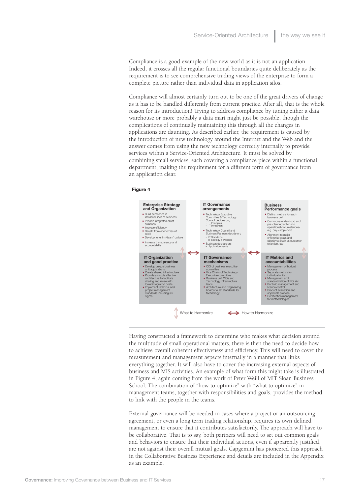Compliance is a good example of the new world as it is not an application. Indeed, it crosses all the regular functional boundaries quite deliberately as the requirement is to see comprehensive trading views of the enterprise to form a complete picture rather than individual data in application silos.

Compliance will almost certainly turn out to be one of the great drivers of change as it has to be handled differently from current practice. After all, that is the whole reason for its introduction! Trying to address compliance by tuning either a data warehouse or more probably a data mart might just be possible, though the complications of continually maintaining this through all the changes in applications are daunting. As described earlier, the requirement is caused by the introduction of new technology around the Internet and the Web and the answer comes from using the new technology correctly internally to provide services within a Service-Oriented Architecture. It must be solved by combining small services, each covering a compliance piece within a functional department, making the requirement for a different form of governance from an application clear.



Having constructed a framework to determine who makes what decision around the multitude of small operational matters, there is then the need to decide how to achieve overall coherent effectiveness and efficiency. This will need to cover the measurement and management aspects internally in a manner that links everything together. It will also have to cover the increasing external aspects of business and MIS activities. An example of what form this might take is illustrated in Figure 4, again coming from the work of Peter Weill of MIT Sloan Business School. The combination of "how to optimize" with "what to optimize" in management teams, together with responsibilities and goals, provides the method to link with the people in the teams.

External governance will be needed in cases where a project or an outsourcing agreement, or even a long term trading relationship, requires its own defined management to ensure that it contributes satisfactorily. The approach will have to be collaborative. That is to say, both partners will need to set out common goals and behaviors to ensure that their individual actions, even if apparently justified, are not against their overall mutual goals. Capgemini has pioneered this approach in the Collaborative Business Experience and details are included in the Appendix as an example.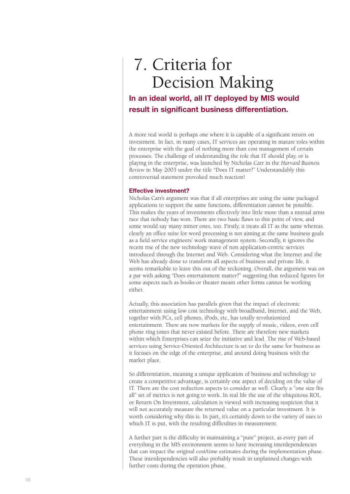### 7. Criteria for Decision Making

### **In an ideal world, all IT deployed by MIS would result in significant business differentiation.**

A more real world is perhaps one where it is capable of a significant return on investment. In fact, in many cases, IT services are operating in mature roles within the enterprise with the goal of nothing more than cost management of certain processes. The challenge of understanding the role that IT should play, or is playing in the enterprise, was launched by Nicholas Carr in the *Harvard Business Review* in May 2003 under the title "Does IT matter?" Understandably this controversial statement provoked much reaction!

#### **Effective investment?**

Nicholas Carr's argument was that if all enterprises are using the same packaged applications to support the same functions, differentiation cannot be possible. This makes the years of investments effectively into little more than a mutual arms race that nobody has won. There are two basic flaws to this point of view, and some would say many minor ones, too. Firstly, it treats all IT as the same whereas clearly an office suite for word processing is not aiming at the same business goals as a field service engineers' work management system. Secondly, it ignores the recent rise of the new technology wave of non application-centric services introduced through the Internet and Web. Considering what the Internet and the Web has already done to transform all aspects of business and private life, it seems remarkable to leave this out of the reckoning. Overall, the argument was on a par with asking "Does entertainment matter?" suggesting that reduced figures for some aspects such as books or theater meant other forms cannot be working either.

Actually, this association has parallels given that the impact of electronic entertainment using low cost technology with broadband, Internet, and the Web, together with PCs, cell phones, iPods, etc, has totally revolutionized entertainment. There are now markets for the supply of music, videos, even cell phone ring tones that never existed before. There are therefore new markets within which Enterprises can seize the initiative and lead. The rise of Web-based services using Service-Oriented Architecture is set to do the same for business as it focuses on the edge of the enterprise, and around doing business with the market place.

So differentiation, meaning a unique application of business and technology to create a competitive advantage, is certainly one aspect of deciding on the value of IT. There are the cost reduction aspects to consider as well. Clearly a "one size fits all" set of metrics is not going to work. In real life the use of the ubiquitous ROI, or Return On Investment, calculation is viewed with increasing suspicion that it will not accurately measure the returned value on a particular investment. It is worth considering why this is. In part, it's certainly down to the variety of uses to which IT is put, with the resulting difficulties in measurement.

A further part is the difficulty in maintaining a "pure" project, as every part of everything in the MIS environment seems to have increasing interdependencies that can impact the original cost/time estimates during the implementation phase. These interdependencies will also probably result in unplanned changes with further costs during the operation phase.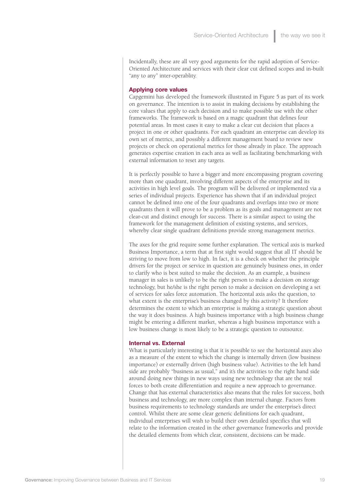Incidentally, these are all very good arguments for the rapid adoption of Service-Oriented Architecture and services with their clear cut defined scopes and in-built "any to any" inter-operablity.

#### **Applying core values**

Capgemini has developed the framework illustrated in Figure 5 as part of its work on governance. The intention is to assist in making decisions by establishing the core values that apply to each decision and to make possible use with the other frameworks. The framework is based on a magic quadrant that defines four potential areas. In most cases it easy to make a clear cut decision that places a project in one or other quadrants. For each quadrant an enterprise can develop its own set of metrics, and possibly a different management board to review new projects or check on operational metrics for those already in place. The approach generates expertise creation in each area as well as facilitating benchmarking with external information to reset any targets.

It is perfectly possible to have a bigger and more encompassing program covering more than one quadrant, involving different aspects of the enterprise and its activities in high level goals. The program will be delivered or implemented via a series of individual projects. Experience has shown that if an individual project cannot be defined into one of the four quadrants and overlaps into two or more quadrants then it will prove to be a problem as its goals and management are not clear-cut and distinct enough for success. There is a similar aspect to using the framework for the management definition of existing systems, and services, whereby clear single quadrant definitions provide strong management metrics.

The axes for the grid require some further explanation. The vertical axis is marked Business Importance, a term that at first sight would suggest that all IT should be striving to move from low to high. In fact, it is a check on whether the principle drivers for the project or service in question are genuinely business ones, in order to clarify who is best suited to make the decision. As an example, a business manager in sales is unlikely to be the right person to make a decision on storage technology, but he/she is the right person to make a decision on developing a set of services for sales force automation. The horizontal axis asks the question, to what extent is the enterprise's business changed by this activity? It therefore determines the extent to which an enterprise is making a strategic question about the way it does business. A high business importance with a high business change might be entering a different market, whereas a high business importance with a low business change is most likely to be a strategic question to outsource.

#### **Internal vs. External**

What is particularly interesting is that it is possible to see the horizontal axes also as a measure of the extent to which the change is internally driven (low business importance) or externally driven (high business value). Activities to the left hand side are probably "business as usual," and it's the activities to the right hand side around doing new things in new ways using new technology that are the real forces to both create differentiation and require a new approach to governance. Change that has external characteristics also means that the rules for success, both business and technology, are more complex than internal change. Factors from business requirements to technology standards are under the enterprise's direct control. Whilst there are some clear generic definitions for each quadrant, individual enterprises will wish to build their own detailed specifics that will relate to the information created in the other governance frameworks and provide the detailed elements from which clear, consistent, decisions can be made.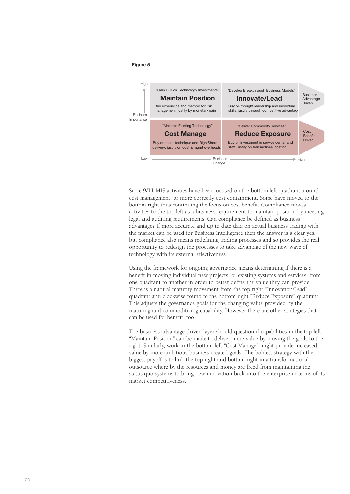

Since 9/11 MIS activities have been focused on the bottom left quadrant around cost management, or more correctly cost containment. Some have moved to the bottom right thus continuing the focus on cost benefit. Compliance moves activities to the top left as a business requirement to maintain position by meeting legal and auditing requirements. Can compliance be defined as business advantage? If more accurate and up to date data on actual business trading with the market can be used for Business Intelligence then the answer is a clear yes, but compliance also means redefining trading processes and so provides the real opportunity to redesign the processes to take advantage of the new wave of technology with its external effectiveness.

Using the framework for ongoing governance means determining if there is a benefit in moving individual new projects, or existing systems and services, from one quadrant to another in order to better define the value they can provide. There is a natural maturity movement from the top right "Innovation/Lead" quadrant anti clockwise round to the bottom right "Reduce Exposure" quadrant. This adjusts the governance goals for the changing value provided by the maturing and commoditizing capability. However there are other strategies that can be used for benefit, too.

The business advantage driven layer should question if capabilities in the top left "Maintain Position" can be made to deliver more value by moving the goals to the right. Similarly, work in the bottom left "Cost Manage" might provide increased value by more ambitious business created goals. The boldest strategy with the biggest payoff is to link the top right and bottom right in a transformational outsource where by the resources and money are freed from maintaining the status quo systems to bring new innovation back into the enterprise in terms of its market competitiveness.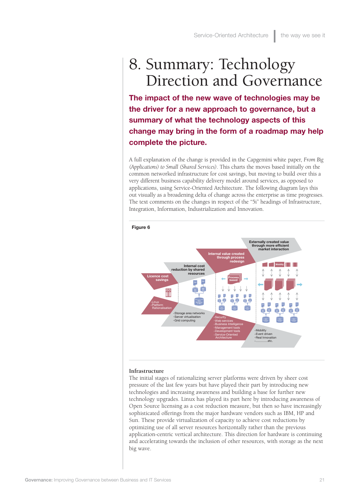### 8. Summary: Technology Direction and Governance

**The impact of the new wave of technologies may be the driver for a new approach to governance, but a summary of what the technology aspects of this change may bring in the form of a roadmap may help complete the picture.**

A full explanation of the change is provided in the Capgemini white paper, *From Big (Applications) to Small (Shared Services)*. This charts the moves based initially on the common networked infrastructure for cost savings, but moving to build over this a very different business capability delivery model around services, as opposed to applications, using Service-Oriented Architecture. The following diagram lays this out visually as a broadening delta of change across the enterprise as time progresses. The text comments on the changes in respect of the "5i" headings of Infrastructure, Integration, Information, Industrialization and Innovation.



#### **Infrastructure**

The initial stages of rationalizing server platforms were driven by sheer cost pressure of the last few years but have played their part by introducing new technologies and increasing awareness and building a base for further new technology upgrades. Linux has played its part here by introducing awareness of Open Source licensing as a cost reduction measure, but then so have increasingly sophisticated offerings from the major hardware vendors such as IBM, HP and Sun. These provide virtualization of capacity to achieve cost reductions by optimizing use of all server resources horizontally rather than the previous application-centric vertical architecture. This direction for hardware is continuing and accelerating towards the inclusion of other resources, with storage as the next big wave.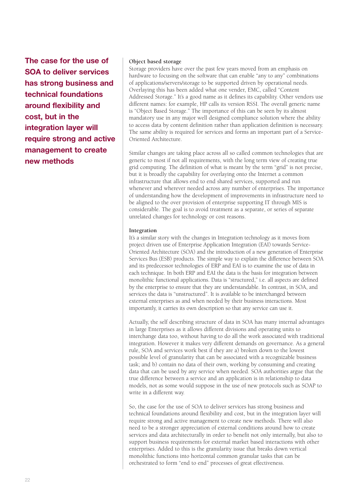**The case for the use of SOA to deliver services has strong business and technical foundations around flexibility and cost, but in the integration layer will require strong and active management to create new methods**

#### **Object based storage**

Storage providers have over the past few years moved from an emphasis on hardware to focusing on the software that can enable "any to any" combinations of applications/servers/storage to be supported driven by operational needs. Overlaying this has been added what one vender, EMC, called "Content Addressed Storage." It's a good name as it defines its capability. Other vendors use different names: for example, HP calls its version RSSI. The overall generic name is "Object Based Storage." The importance of this can be seen by its almost mandatory use in any major well designed compliance solution where the ability to access data by content definition rather than application definition is necessary. The same ability is required for services and forms an important part of a Service-Oriented Architecture.

Similar changes are taking place across all so called common technologies that are generic to most if not all requirements, with the long term view of creating true grid computing. The definition of what is meant by the term "grid" is not precise, but it is broadly the capability for overlaying onto the Internet a common infrastructure that allows end to end shared services, supported and run whenever and wherever needed across any number of enterprises. The importance of understanding how the development of improvements in infrastructure need to be aligned to the over provision of enterprise supporting IT through MIS is considerable. The goal is to avoid treatment as a separate, or series of separate unrelated changes for technology or cost reasons.

#### **Integration**

It's a similar story with the changes in Integration technology as it moves from project driven use of Enterprise Application Integration (EAI) towards Service-Oriented Architecture (SOA) and the introduction of a new generation of Enterprise Services Bus (ESB) products. The simple way to explain the difference between SOA and its predecessor technologies of ERP and EAI is to examine the use of data in each technique. In both ERP and EAI the data is the basis for integration between monolithic functional applications. Data is "structured," i.e. all aspects are defined by the enterprise to ensure that they are understandable. In contrast, in SOA, and services the data is "unstructured". It is available to be interchanged between external enterprises as and when needed by their business interactions. Most importantly, it carries its own description so that any service can use it.

Actually, the self describing structure of data in SOA has many internal advantages in large Enterprises as it allows different divisions and operating units to interchange data too, without having to do all the work associated with traditional integration. However it makes very different demands on governance. As a general rule, SOA and services work best if they are a) broken down to the lowest possible level of granularity that can be associated with a recognizable business task; and b) contain no data of their own, working by consuming and creating data that can be used by any service when needed. SOA authorities argue that the true difference between a service and an application is in relationship to data models, not as some would suppose in the use of new protocols such as SOAP to write in a different way.

So, the case for the use of SOA to deliver services has strong business and technical foundations around flexibility and cost, but in the integration layer will require strong and active management to create new methods. There will also need to be a stronger appreciation of external conditions around how to create services and data architecturally in order to benefit not only internally, but also to support business requirements for external market based interactions with other enterprises. Added to this is the granularity issue that breaks down vertical monolithic functions into horizontal common granular tasks that can be orchestrated to form "end to end" processes of great effectiveness.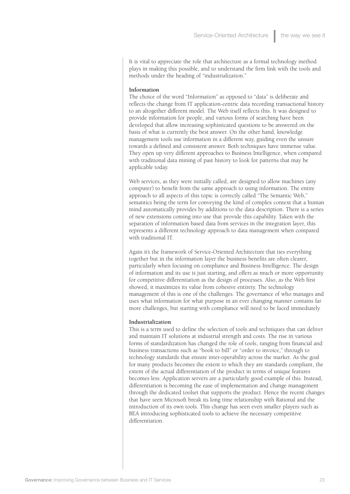It is vital to appreciate the role that architecture as a formal technology method plays in making this possible, and to understand the firm link with the tools and methods under the heading of "industrialization."

#### **Information**

The choice of the word "Information" as opposed to "data" is deliberate and reflects the change from IT application-centric data recording transactional history to an altogether different model. The Web itself reflects this. It was designed to provide information for people, and various forms of searching have been developed that allow increasing sophisticated questions to be answered on the basis of what is currently the best answer. On the other hand, knowledge management tools use information in a different way, guiding even the unsure towards a defined and consistent answer. Both techniques have immense value. They open up very different approaches to Business Intelligence, when compared with traditional data mining of past history to look for patterns that may be applicable today.

Web services, as they were initially called, are designed to allow machines (any computer) to benefit from the same approach to using information. The entire approach to all aspects of this topic is correctly called "The Semantic Web," semantics being the term for conveying the kind of complex context that a human mind automatically provides by additions to the data description. There is a series of new extensions coming into use that provide this capability. Taken with the separation of information based data from services in the integration layer, this represents a different technology approach to data management when compared with traditional IT.

Again it's the framework of Service-Oriented Architecture that ties everything together but in the information layer the business benefits are often clearer, particularly when focusing on compliance and Business Intelligence. The design of information and its use is just starting, and offers as much or more opportunity for competitive differentiation as the design of processes. Also, as the Web first showed, it maximizes its value from cohesive entirety. The technology management of this is one of the challenges. The governance of who manages and uses what information for what purpose in an ever changing manner contains far more challenges, but starting with compliance will need to be faced immediately.

#### **Industrialization**

This is a term used to define the selection of tools and techniques that can deliver and maintain IT solutions at industrial strength and costs. The rise in various forms of standardization has changed the role of tools, ranging from financial and business transactions such as "book to bill" or "order to invoice," through to technology standards that ensure inter-operability across the market. As the goal for many products becomes the extent to which they are standards compliant, the extent of the actual differentiation of the product in terms of unique features becomes less. Application servers are a particularly good example of this. Instead, differentiation is becoming the ease of implementation and change management through the dedicated toolset that supports the product. Hence the recent changes that have seen Microsoft break its long time relationship with Rational and the introduction of its own tools. This change has seen even smaller players such as BEA introducing sophisticated tools to achieve the necessary competitive differentiation.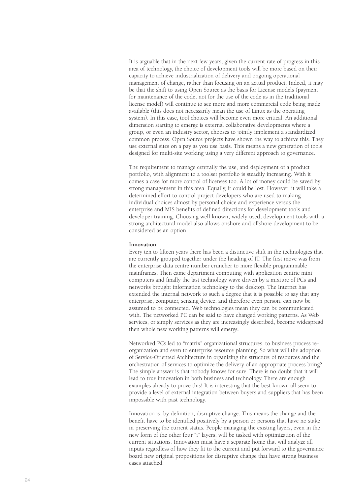It is arguable that in the next few years, given the current rate of progress in this area of technology, the choice of development tools will be more based on their capacity to achieve industrialization of delivery and ongoing operational management of change, rather than focusing on an actual product. Indeed, it may be that the shift to using Open Source as the basis for License models (payment for maintenance of the code, not for the use of the code as in the traditional license model) will continue to see more and more commercial code being made available (this does not necessarily mean the use of Linux as the operating system). In this case, tool choices will become even more critical. An additional dimension starting to emerge is external collaborative developments where a group, or even an industry sector, chooses to jointly implement a standardized common process. Open Source projects have shown the way to achieve this. They use external sites on a pay as you use basis. This means a new generation of tools designed for multi-site working using a very different approach to governance.

The requirement to manage centrally the use, and deployment of a product portfolio, with alignment to a toolset portfolio is steadily increasing. With it comes a case for more control of licenses too. A lot of money could be saved by strong management in this area. Equally, it could be lost. However, it will take a determined effort to control project developers who are used to making individual choices almost by personal choice and experience versus the enterprise and MIS benefits of defined directions for development tools and developer training. Choosing well known, widely used, development tools with a strong architectural model also allows onshore and offshore development to be considered as an option.

#### **Innovation**

Every ten to fifteen years there has been a distinctive shift in the technologies that are currently grouped together under the heading of IT. The first move was from the enterprise data centre number cruncher to more flexible programmable mainframes. Then came department computing with application centric mini computers and finally the last technology wave driven by a mixture of PCs and networks brought information technology to the desktop. The Internet has extended the internal network to such a degree that it is possible to say that any enterprise, computer, sensing device, and therefore even person, can now be assumed to be connected. Web technologies mean they can be communicated with. The networked PC can be said to have changed working patterns. As Web services, or simply services as they are increasingly described, become widespread then whole new working patterns will emerge.

Networked PCs led to "matrix" organizational structures, to business process reorganization and even to enterprise resource planning. So what will the adoption of Service-Oriented Architecture in organizing the structure of resources and the orchestration of services to optimize the delivery of an appropriate process bring? The simple answer is that nobody knows for sure. There is no doubt that it will lead to true innovation in both business and technology. There are enough examples already to prove this! It is interesting that the best known all seem to provide a level of external integration between buyers and suppliers that has been impossible with past technology.

Innovation is, by definition, disruptive change. This means the change and the benefit have to be identified positively by a person or persons that have no stake in preserving the current status. People managing the existing layers, even in the new form of the other four "i" layers, will be tasked with optimization of the current situations. Innovation must have a separate home that will analyze all inputs regardless of how they fit to the current and put forward to the governance board new original propositions for disruptive change that have strong business cases attached.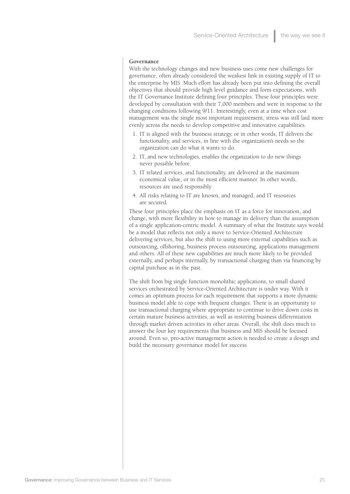#### **Governance**

With the technology changes and new business uses come new challenges for governance, often already considered the weakest link in existing supply of IT to the enterprise by MIS. Much effort has already been put into defining the overall objectives that should provide high level guidance and form expectations, with the IT Governance Institute defining four principles. These four principles were developed by consultation with their 7,000 members and were in response to the changing conditions following 9/11. Interestingly, even at a time when cost management was the single most important requirement, stress was still laid more evenly across the needs to develop competitive and innovative capabilities.

- 1. IT is aligned with the business strategy, or in other words, IT delivers the functionality, and services, in line with the organization's needs so the organization can do what it wants to do.
- 2. IT, and new technologies, enables the organization to do new things never possible before.
- 3. IT related services, and functionality, are delivered at the maximum economical value, or in the most efficient manner. In other words, resources are used responsibly.
- 4. All risks relating to IT are known, and managed, and IT resources are secured.

These four principles place the emphasis on IT as a force for innovation, and change, with more flexibility in how to manage its delivery than the assumption of a single application-centric model. A summary of what the Institute says would be a model that reflects not only a move to Service-Oriented Architecture delivering services, but also the shift to using more external capabilities such as outsourcing, offshoring, business process outsourcing, applications management and others. All of these new capabilities are much more likely to be provided externally, and perhaps internally, by transactional charging than via financing by capital purchase as in the past.

The shift from big single function monolithic applications, to small shared services orchestrated by Service-Oriented Architecture is under way. With it comes an optimum process for each requirement that supports a more dynamic business model able to cope with frequent changes. There is an opportunity to use transactional charging where appropriate to continue to drive down costs in certain mature business activities, as well as restoring business differentiation through market driven activities in other areas. Overall, the shift does much to answer the four key requirements that business and MIS should be focused around. Even so, pro-active management action is needed to create a design and build the necessary governance model for success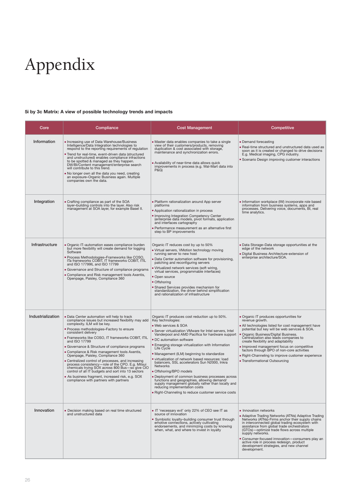# Appendix

#### **5i by 3c Matrix: A view of possible technology trends and impacts**

| Core              | Compliance                                                                                                                                                                                                                                                                                                                                                                                                                                                                                                                                                                                                                                                                                                                           | <b>Cost Management</b>                                                                                                                                                                                                                                                                                                                                                                                                                                                                                                                                                                                                                                                                                                                                    | Competitive                                                                                                                                                                                                                                                                                                                                                                                                                                                                 |
|-------------------|--------------------------------------------------------------------------------------------------------------------------------------------------------------------------------------------------------------------------------------------------------------------------------------------------------------------------------------------------------------------------------------------------------------------------------------------------------------------------------------------------------------------------------------------------------------------------------------------------------------------------------------------------------------------------------------------------------------------------------------|-----------------------------------------------------------------------------------------------------------------------------------------------------------------------------------------------------------------------------------------------------------------------------------------------------------------------------------------------------------------------------------------------------------------------------------------------------------------------------------------------------------------------------------------------------------------------------------------------------------------------------------------------------------------------------------------------------------------------------------------------------------|-----------------------------------------------------------------------------------------------------------------------------------------------------------------------------------------------------------------------------------------------------------------------------------------------------------------------------------------------------------------------------------------------------------------------------------------------------------------------------|
| Information       | Increasing use of Data Warehouse/Business<br>Intelligence/Data Integration technologies to<br>respond to the reporting requirements of regulation<br>. Trend for real-time, event-driven data (structured<br>and unstructured) enables compliance infractions<br>to be spotted & managed as they happen.<br>DW/BI/Content management/enterprise search<br>will contribute to this trend.<br>. No longer own all the data you need, creating<br>an exposure-Organic Business again. Multiple<br>companies own the data.                                                                                                                                                                                                               | • Master data enables companies to take a single<br>view of their customers/products, removing<br>duplication & cost associated with storage,<br>maintenance and synchronization errors.<br>Availability of near-time data allows quick<br>improvements in process (e.g. Wal-Mart data into<br><b>P&amp;G)</b>                                                                                                                                                                                                                                                                                                                                                                                                                                            | • Demand forecasting<br>• Real-time structured and unstructured data used as<br>soon as it is created or changed to drive decisions<br>E.g. Medical imaging, CPG industry.<br>Scenario Design improving customer interactions                                                                                                                                                                                                                                               |
| Integration       | • Crafting compliance as part of the SOA<br>layer-building controls into the layer. Also risk<br>management at SOA layer, for example Basel II.                                                                                                                                                                                                                                                                                                                                                                                                                                                                                                                                                                                      | • Platform rationalization around App server<br>platforms<br>• Application rationalization in process<br>• Improving Integration Competency Center<br>(enterprise data models, pivot formats, application<br>and interfaces cartography<br>■ Performance measurement as an alternative first<br>step to BP improvements                                                                                                                                                                                                                                                                                                                                                                                                                                   | Information workplace (IW) incorporate role based<br>information from business systems, apps and<br>processes. Delivering voice, documents, BI, real<br>time analytics.                                                                                                                                                                                                                                                                                                     |
| Infrastructure    | - Organic IT-automation eases compliance burden<br>but more flexibility will create demand for logging<br>Software<br>- Process Methodologies-Frameworks like COSO,<br>ITa frameworks COBIT, IT frameworks COBIT, ITIL<br>and ISO 17799IL and ISO 17799<br>• Governance and Structure of compliance programs<br>• Compliance and Risk management tools Axentis,<br>Openpage, Paisley, Compliance 360                                                                                                                                                                                                                                                                                                                                 | Organic IT reduces cost by up to 50%<br>Uritual servers, VMotion technology moving<br>running server to new host<br>Data Center automation software for provisioning,<br>patching and reconfiguring servers<br>Uritualized network services (soft wiring,<br>virtual services, programmable interfaces)<br>• Open source<br>• Offshoring<br><b>Shared Services provides mechanism for</b><br>standardization, the driver behind simplification<br>and rationalization of infrastructure                                                                                                                                                                                                                                                                   | · Data Storage-Data storage opportunities at the<br>edge of the network<br>Digital Business Architecture-extension of<br>enterprise architecture/SOA.                                                                                                                                                                                                                                                                                                                       |
| Industrialization | . Data Center automation will help to track<br>compliance issues but increased flexibility may add<br>complexity. ILM will be key.<br>· Process methodologies-Factory to ensure<br>consistent delivery<br>· Frameworks like COSO, IT frameworks COBIT, ITIL<br>and ISO 17799<br>• Governance & Structure of compliance programs<br>• Compliance & Risk management tools Axentis,<br>Openpage, Paisley, Compliance 360<br>• Centralized control of processes, and increasing<br>process consistency-role of the CPO. E.g. Mitsui<br>chemicals trying SOX across 800 Bus-so give CIO<br>control of all IT budgets and sort into 13 sectors<br>As business fragment, increased risk, e.g. SOX<br>compliance with partners with partners | Organic IT produces cost reduction up to 50%.<br>Key technologies:<br>. Web services & SOA<br>Server virtualization VMware for Intel servers, Intel<br>Vanderpool and AMD Pacifica for hardware support<br>■ DC automation software<br><b>Emerging storage virtualization with Information</b><br>Life Cycle<br>• Management (ILM) beginning to standardize<br>virtualization of network based resources: load<br>balancers, SSL accelerators Sun N2000, Inkra<br><b>Networks</b><br>Offshoring/BPO models<br>Deployment of common business processes across<br>functions and geographies, allowing demand/<br>supply management globally rather than locally and<br>reducing implementation costs<br>. Right-Channeling to reduce customer service costs | • Organic IT produces opportunities for<br>revenue growth.<br>• All technologies listed for cost management have<br>potential but key will be web services & SOA.<br>• Organic Business/Digital Business.<br>Centralization also leads companies to<br>create flexibility and adaptability<br>Improved management focus on competitive<br>factors through BPO of non-core activities<br>. Right-Channeling to improve customer experience<br>• Transformational Outsourcing |
| Innovation        | • Decision making based on real time structured<br>and unstructured data                                                                                                                                                                                                                                                                                                                                                                                                                                                                                                                                                                                                                                                             | • IT 'necessary evil' only 22% of CEO see IT as<br>source of innovation<br>Symbiotic loyalty-building consumer trust through<br>emotive connections, actively cultivating<br>endorsements, and minimizing costs by knowing<br>when, what, and where to invest in loyalty                                                                                                                                                                                                                                                                                                                                                                                                                                                                                  | • Innovation networks<br>Adaptive Trading Networks (ATNs) Adaptive Trading<br>Networks (ATNs)-Firms anchor their supply chains<br>in interconnected global trading ecosystem with<br>assistance from global trade orchestrators<br>(GTOs)-optimize trade flows across multiple<br>supply networks.<br>• Consumer-focused innovation-consumers play an<br>active role in process redesign, product<br>development strategies, and new channel<br>development.                |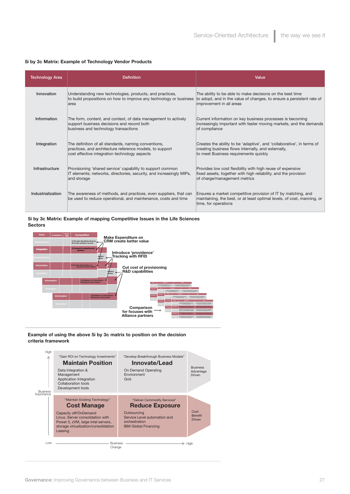#### **5i by 3c Matrix: Example of Technology Vendor Products**

| <b>Technology Area</b> | <b>Definition</b>                                                                                                                                                 | Value                                                                                                                                                                  |
|------------------------|-------------------------------------------------------------------------------------------------------------------------------------------------------------------|------------------------------------------------------------------------------------------------------------------------------------------------------------------------|
| Innovation             | Understanding new technologies, products, and practices,<br>to build propositions on how to improve any technology or business<br>area                            | The ability to be able to make decisions on the best time<br>to adopt, and in the value of changes, to ensure a persistent rate of<br>improvement in all areas         |
| Information            | The form, content, and context, of data management to actively<br>support business decisions and record both<br>business and technology transactions              | Current information on key business processes is becoming<br>increasingly important with faster moving markets, and the demands<br>of compliance                       |
| Integration            | The definition of all standards, naming conventions,<br>practices, and architecture reference models, to support<br>cost effective integration technology aspects | Creates the ability to be 'adaptive', and 'collaborative', in terms of<br>creating business flows internally, and externally,<br>to meet Business requirements quickly |
| Infrastructure         | Provisioning 'shared service' capability to support common<br>IT elements; networks, directories, security, and increasingly MIPs,<br>and storage                 | Provides low cost flexibility with high reuse of expensive<br>fixed assets, together with high reliability, and the provision<br>of charge/management metrics          |
| Industrialization      | The awareness of methods, and practices, even suppliers, that can<br>be used to reduce operational, and maintenance, costs and time                               | Ensures a market competitive provision of IT by matching, and<br>maintaining, the best, or at least optimal levels, of cost, manning, or<br>time, for operations       |

#### **5i by 3c Matrix: Example of mapping Competitive Issues in the Life Sciences Sectors**



#### **Example of using the above 5i by 3c matrix to position on the decision criteria framework**

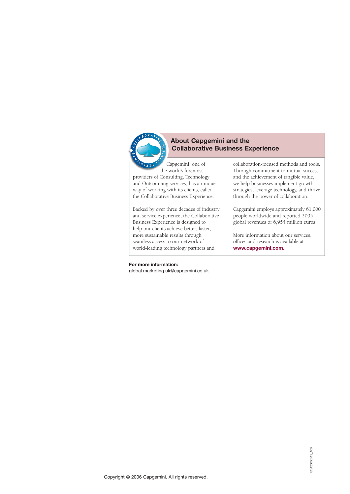

#### **About Capgemini and the Collaborative Business Experience**

Capgemini, one of the world's foremost providers of Consulting, Technology and Outsourcing services, has a unique way of working with its clients, called the Collaborative Business Experience.

Backed by over three decades of industry and service experience, the Collaborative Business Experience is designed to help our clients achieve better, faster, more sustainable results through seamless access to our network of world-leading technology partners and

collaboration-focused methods and tools. Through commitment to mutual success and the achievement of tangible value, we help businesses implement growth strategies, leverage technology, and thrive through the power of collaboration.

Capgemini employs approximately 61,000 people worldwide and reported 2005 global revenues of 6,954 million euros.

More information about our services, offices and research is available at **www.capgemini.com.**

#### **For more information:** global.marketing.uk@capgemini.co.uk